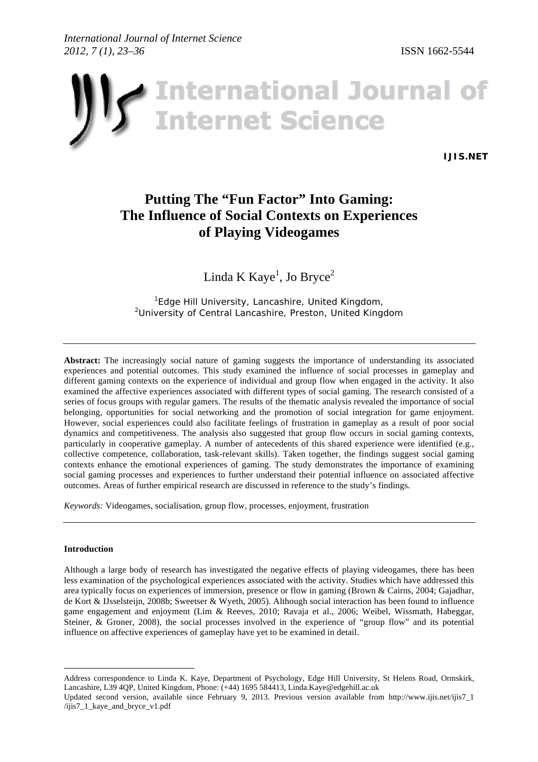

**[IJIS.NET](www.ijis.net)**

# **Putting The "Fun Factor" Into Gaming: The Influence of Social Contexts on Experiences of Playing Videogames**

Linda K  $K$ aye<sup>1</sup>, Jo Bryce<sup>2</sup>

<sup>1</sup> Edge Hill University, Lancashire, United Kingdom, *University of Central Lancashire, Preston, United Kingdom*

**Abstract:** The increasingly social nature of gaming suggests the importance of understanding its associated experiences and potential outcomes. This study examined the influence of social processes in gameplay and different gaming contexts on the experience of individual and group flow when engaged in the activity. It also examined the affective experiences associated with different types of social gaming. The research consisted of a series of focus groups with regular gamers. The results of the thematic analysis revealed the importance of social belonging, opportunities for social networking and the promotion of social integration for game enjoyment. However, social experiences could also facilitate feelings of frustration in gameplay as a result of poor social dynamics and competitiveness. The analysis also suggested that group flow occurs in social gaming contexts, particularly in cooperative gameplay. A number of antecedents of this shared experience were identified (e.g., collective competence, collaboration, task-relevant skills). Taken together, the findings suggest social gaming contexts enhance the emotional experiences of gaming. The study demonstrates the importance of examining social gaming processes and experiences to further understand their potential influence on associated affective outcomes. Areas of further empirical research are discussed in reference to the study's findings.

*Keywords:* Videogames, socialisation, group flow, processes, enjoyment, frustration

### **Introduction**

 $\overline{a}$ 

Although a large body of research has investigated the negative effects of playing videogames, there has been less examination of the psychological experiences associated with the activity. Studies which have addressed this area typically focus on experiences of immersion, presence or flow in gaming (Brown & Cairns, 2004; Gajadhar, de Kort & IJsselsteijn, 2008b; Sweetser & Wyeth, 2005). Although social interaction has been found to influence game engagement and enjoyment (Lim & Reeves, 2010; Ravaja et al., 2006; Weibel, Wissmath, Habeggar, Steiner, & Groner, 2008), the social processes involved in the experience of "group flow" and its potential influence on affective experiences of gameplay have yet to be examined in detail.

Address correspondence to Linda K. Kaye, Department of Psychology, Edge Hill University, St Helens Road, Ormskirk, Lancashire, L39 4QP, United Kingdom, Phone: (+44) 1695 584413, [Linda.Kaye@edgehill.ac.uk](mailto: Linda. Kaye@edgehill.ac.uk)

Updated second version, available since February 9, 2013. Previous version available from [http://www.ijis.net/ijis7\\_1](www.ijis.net/ijis7_1/ijis7_1_kaye_and_bryce_v1.pdf) [/ijis7\\_1\\_kaye\\_and\\_bryce\\_v1.pdf](www.ijis.net/ijis7_1/ijis7_1_kaye_and_bryce_v1.pdf)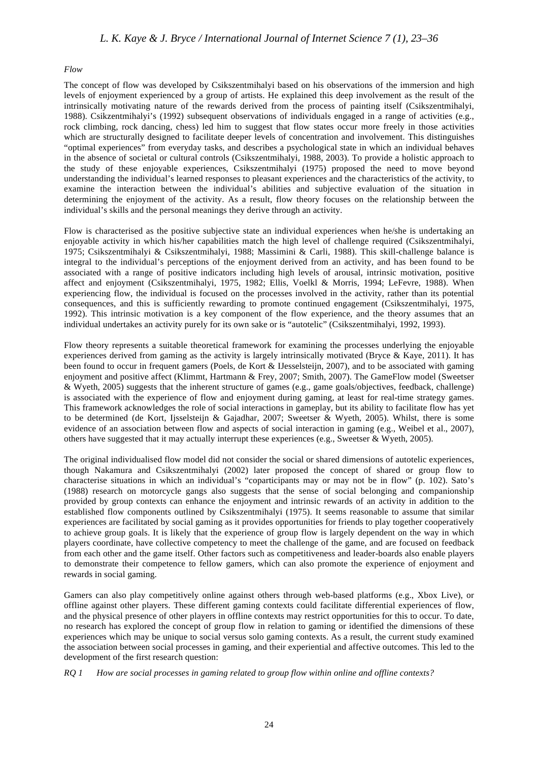#### *Flow*

The concept of flow was developed by Csikszentmihalyi based on his observations of the immersion and high levels of enjoyment experienced by a group of artists. He explained this deep involvement as the result of the intrinsically motivating nature of the rewards derived from the process of painting itself (Csikszentmihalyi, 1988). Csikzentmihalyi's (1992) subsequent observations of individuals engaged in a range of activities (e.g., rock climbing, rock dancing, chess) led him to suggest that flow states occur more freely in those activities which are structurally designed to facilitate deeper levels of concentration and involvement. This distinguishes "optimal experiences" from everyday tasks, and describes a psychological state in which an individual behaves in the absence of societal or cultural controls (Csikszentmihalyi, 1988, 2003). To provide a holistic approach to the study of these enjoyable experiences, Csikszentmihalyi (1975) proposed the need to move beyond understanding the individual's learned responses to pleasant experiences and the characteristics of the activity, to examine the interaction between the individual's abilities and subjective evaluation of the situation in determining the enjoyment of the activity. As a result, flow theory focuses on the relationship between the individual's skills and the personal meanings they derive through an activity.

Flow is characterised as the positive subjective state an individual experiences when he/she is undertaking an enjoyable activity in which his/her capabilities match the high level of challenge required (Csikszentmihalyi, 1975; Csikszentmihalyi & Csikszentmihalyi, 1988; Massimini & Carli, 1988). This skill-challenge balance is integral to the individual's perceptions of the enjoyment derived from an activity, and has been found to be associated with a range of positive indicators including high levels of arousal, intrinsic motivation, positive affect and enjoyment (Csikszentmihalyi, 1975, 1982; Ellis, Voelkl & Morris, 1994; LeFevre, 1988). When experiencing flow, the individual is focused on the processes involved in the activity, rather than its potential consequences, and this is sufficiently rewarding to promote continued engagement (Csikszentmihalyi, 1975, 1992). This intrinsic motivation is a key component of the flow experience, and the theory assumes that an individual undertakes an activity purely for its own sake or is "autotelic" (Csikszentmihalyi, 1992, 1993).

Flow theory represents a suitable theoretical framework for examining the processes underlying the enjoyable experiences derived from gaming as the activity is largely intrinsically motivated (Bryce & Kaye, 2011). It has been found to occur in frequent gamers (Poels, de Kort & IJesselsteijn, 2007), and to be associated with gaming enjoyment and positive affect (Klimmt, Hartmann & Frey, 2007; Smith, 2007). The GameFlow model (Sweetser & Wyeth, 2005) suggests that the inherent structure of games (e.g., game goals/objectives, feedback, challenge) is associated with the experience of flow and enjoyment during gaming, at least for real-time strategy games. This framework acknowledges the role of social interactions in gameplay, but its ability to facilitate flow has yet to be determined (de Kort, Ijsselsteijn & Gajadhar, 2007; Sweetser & Wyeth, 2005). Whilst, there is some evidence of an association between flow and aspects of social interaction in gaming (e.g., Weibel et al., 2007), others have suggested that it may actually interrupt these experiences (e.g., Sweetser & Wyeth, 2005).

The original individualised flow model did not consider the social or shared dimensions of autotelic experiences, though Nakamura and Csikszentmihalyi (2002) later proposed the concept of shared or group flow to characterise situations in which an individual's "coparticipants may or may not be in flow" (p. 102). Sato's (1988) research on motorcycle gangs also suggests that the sense of social belonging and companionship provided by group contexts can enhance the enjoyment and intrinsic rewards of an activity in addition to the established flow components outlined by Csikszentmihalyi (1975). It seems reasonable to assume that similar experiences are facilitated by social gaming as it provides opportunities for friends to play together cooperatively to achieve group goals. It is likely that the experience of group flow is largely dependent on the way in which players coordinate, have collective competency to meet the challenge of the game, and are focused on feedback from each other and the game itself. Other factors such as competitiveness and leader-boards also enable players to demonstrate their competence to fellow gamers, which can also promote the experience of enjoyment and rewards in social gaming.

Gamers can also play competitively online against others through web-based platforms (e.g., Xbox Live), or offline against other players. These different gaming contexts could facilitate differential experiences of flow, and the physical presence of other players in offline contexts may restrict opportunities for this to occur. To date, no research has explored the concept of group flow in relation to gaming or identified the dimensions of these experiences which may be unique to social versus solo gaming contexts. As a result, the current study examined the association between social processes in gaming, and their experiential and affective outcomes. This led to the development of the first research question:

*RQ 1 How are social processes in gaming related to group flow within online and offline contexts?*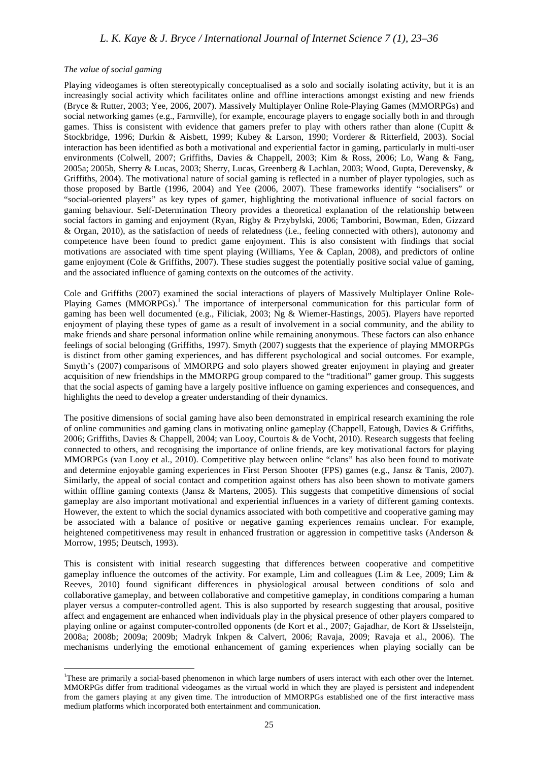### *The value of social gaming*

 $\overline{a}$ 

Playing videogames is often stereotypically conceptualised as a solo and socially isolating activity, but it is an increasingly social activity which facilitates online and offline interactions amongst existing and new friends (Bryce & Rutter, 2003; Yee, 2006, 2007). Massively Multiplayer Online Role-Playing Games (MMORPGs) and social networking games (e.g., Farmville), for example, encourage players to engage socially both in and through games. Thiss is consistent with evidence that gamers prefer to play with others rather than alone (Cupitt & Stockbridge, 1996; Durkin & Aisbett, 1999; Kubey & Larson, 1990; Vorderer & Ritterfield, 2003). Social interaction has been identified as both a motivational and experiential factor in gaming, particularly in multi-user environments (Colwell, 2007; Griffiths, Davies & Chappell, 2003; Kim & Ross, 2006; Lo, Wang & Fang, 2005a; 2005b, Sherry & Lucas, 2003; Sherry, Lucas, Greenberg & Lachlan, 2003; Wood, Gupta, Derevensky, & Griffiths, 2004). The motivational nature of social gaming is reflected in a number of player typologies, such as those proposed by Bartle (1996, 2004) and Yee (2006, 2007). These frameworks identify "socialisers" or "social-oriented players" as key types of gamer, highlighting the motivational influence of social factors on gaming behaviour. Self-Determination Theory provides a theoretical explanation of the relationship between social factors in gaming and enjoyment (Ryan, Rigby & Przybylski, 2006; Tamborini, Bowman, Eden, Gizzard & Organ, 2010), as the satisfaction of needs of relatedness (i.e., feeling connected with others), autonomy and competence have been found to predict game enjoyment. This is also consistent with findings that social motivations are associated with time spent playing (Williams, Yee & Caplan, 2008), and predictors of online game enjoyment (Cole & Griffiths, 2007). These studies suggest the potentially positive social value of gaming, and the associated influence of gaming contexts on the outcomes of the activity.

Cole and Griffiths (2007) examined the social interactions of players of Massively Multiplayer Online Role-Playing Games (MMORPGs).<sup>1</sup> The importance of interpersonal communication for this particular form of gaming has been well documented (e.g., Filiciak, 2003; Ng & Wiemer-Hastings, 2005). Players have reported enjoyment of playing these types of game as a result of involvement in a social community, and the ability to make friends and share personal information online while remaining anonymous. These factors can also enhance feelings of social belonging (Griffiths, 1997). Smyth (2007) suggests that the experience of playing MMORPGs is distinct from other gaming experiences, and has different psychological and social outcomes. For example, Smyth's (2007) comparisons of MMORPG and solo players showed greater enjoyment in playing and greater acquisition of new friendships in the MMORPG group compared to the "traditional" gamer group. This suggests that the social aspects of gaming have a largely positive influence on gaming experiences and consequences, and highlights the need to develop a greater understanding of their dynamics.

The positive dimensions of social gaming have also been demonstrated in empirical research examining the role of online communities and gaming clans in motivating online gameplay (Chappell, Eatough, Davies & Griffiths, 2006; Griffiths, Davies & Chappell, 2004; van Looy, Courtois & de Vocht, 2010). Research suggests that feeling connected to others, and recognising the importance of online friends, are key motivational factors for playing MMORPGs (van Looy et al., 2010). Competitive play between online "clans" has also been found to motivate and determine enjoyable gaming experiences in First Person Shooter (FPS) games (e.g., Jansz & Tanis, 2007). Similarly, the appeal of social contact and competition against others has also been shown to motivate gamers within offline gaming contexts (Jansz & Martens, 2005). This suggests that competitive dimensions of social gameplay are also important motivational and experiential influences in a variety of different gaming contexts. However, the extent to which the social dynamics associated with both competitive and cooperative gaming may be associated with a balance of positive or negative gaming experiences remains unclear. For example, heightened competitiveness may result in enhanced frustration or aggression in competitive tasks (Anderson & Morrow, 1995; Deutsch, 1993).

This is consistent with initial research suggesting that differences between cooperative and competitive gameplay influence the outcomes of the activity. For example, Lim and colleagues (Lim & Lee, 2009; Lim & Reeves, 2010) found significant differences in physiological arousal between conditions of solo and collaborative gameplay, and between collaborative and competitive gameplay, in conditions comparing a human player versus a computer-controlled agent. This is also supported by research suggesting that arousal, positive affect and engagement are enhanced when individuals play in the physical presence of other players compared to playing online or against computer-controlled opponents (de Kort et al., 2007; Gajadhar, de Kort & IJsselsteijn, 2008a; 2008b; 2009a; 2009b; Madryk Inkpen & Calvert, 2006; Ravaja, 2009; Ravaja et al., 2006). The mechanisms underlying the emotional enhancement of gaming experiences when playing socially can be

<sup>1</sup> These are primarily a social-based phenomenon in which large numbers of users interact with each other over the Internet. MMORPGs differ from traditional videogames as the virtual world in which they are played is persistent and independent from the gamers playing at any given time. The introduction of MMORPGs established one of the first interactive mass medium platforms which incorporated both entertainment and communication.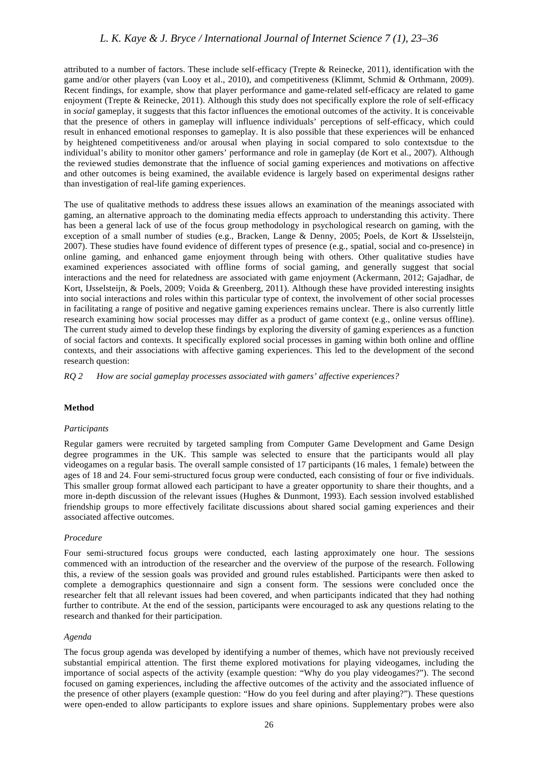attributed to a number of factors. These include self-efficacy (Trepte & Reinecke, 2011), identification with the game and/or other players (van Looy et al., 2010), and competitiveness (Klimmt, Schmid & Orthmann, 2009). Recent findings, for example, show that player performance and game-related self-efficacy are related to game enjoyment (Trepte & Reinecke, 2011). Although this study does not specifically explore the role of self-efficacy in *social* gameplay, it suggests that this factor influences the emotional outcomes of the activity. It is conceivable that the presence of others in gameplay will influence individuals' perceptions of self-efficacy, which could result in enhanced emotional responses to gameplay. It is also possible that these experiences will be enhanced by heightened competitiveness and/or arousal when playing in social compared to solo contextsdue to the individual's ability to monitor other gamers' performance and role in gameplay (de Kort et al., 2007). Although the reviewed studies demonstrate that the influence of social gaming experiences and motivations on affective and other outcomes is being examined, the available evidence is largely based on experimental designs rather than investigation of real-life gaming experiences.

The use of qualitative methods to address these issues allows an examination of the meanings associated with gaming, an alternative approach to the dominating media effects approach to understanding this activity. There has been a general lack of use of the focus group methodology in psychological research on gaming, with the exception of a small number of studies (e.g., Bracken, Lange & Denny, 2005; Poels, de Kort & IJsselsteijn, 2007). These studies have found evidence of different types of presence (e.g., spatial, social and co-presence) in online gaming, and enhanced game enjoyment through being with others. Other qualitative studies have examined experiences associated with offline forms of social gaming, and generally suggest that social interactions and the need for relatedness are associated with game enjoyment (Ackermann, 2012; Gajadhar, de Kort, IJsselsteijn, & Poels, 2009; Voida & Greenberg, 2011). Although these have provided interesting insights into social interactions and roles within this particular type of context, the involvement of other social processes in facilitating a range of positive and negative gaming experiences remains unclear. There is also currently little research examining how social processes may differ as a product of game context (e.g., online versus offline). The current study aimed to develop these findings by exploring the diversity of gaming experiences as a function of social factors and contexts. It specifically explored social processes in gaming within both online and offline contexts, and their associations with affective gaming experiences. This led to the development of the second research question:

*RQ 2 How are social gameplay processes associated with gamers' affective experiences?*

### **Method**

### *Participants*

Regular gamers were recruited by targeted sampling from Computer Game Development and Game Design degree programmes in the UK. This sample was selected to ensure that the participants would all play videogames on a regular basis. The overall sample consisted of 17 participants (16 males, 1 female) between the ages of 18 and 24. Four semi-structured focus group were conducted, each consisting of four or five individuals. This smaller group format allowed each participant to have a greater opportunity to share their thoughts, and a more in-depth discussion of the relevant issues (Hughes & Dunmont, 1993). Each session involved established friendship groups to more effectively facilitate discussions about shared social gaming experiences and their associated affective outcomes.

### *Procedure*

Four semi-structured focus groups were conducted, each lasting approximately one hour. The sessions commenced with an introduction of the researcher and the overview of the purpose of the research. Following this, a review of the session goals was provided and ground rules established. Participants were then asked to complete a demographics questionnaire and sign a consent form. The sessions were concluded once the researcher felt that all relevant issues had been covered, and when participants indicated that they had nothing further to contribute. At the end of the session, participants were encouraged to ask any questions relating to the research and thanked for their participation.

### *Agenda*

The focus group agenda was developed by identifying a number of themes, which have not previously received substantial empirical attention. The first theme explored motivations for playing videogames, including the importance of social aspects of the activity (example question: "Why do you play videogames?"). The second focused on gaming experiences, including the affective outcomes of the activity and the associated influence of the presence of other players (example question: "How do you feel during and after playing?"). These questions were open-ended to allow participants to explore issues and share opinions. Supplementary probes were also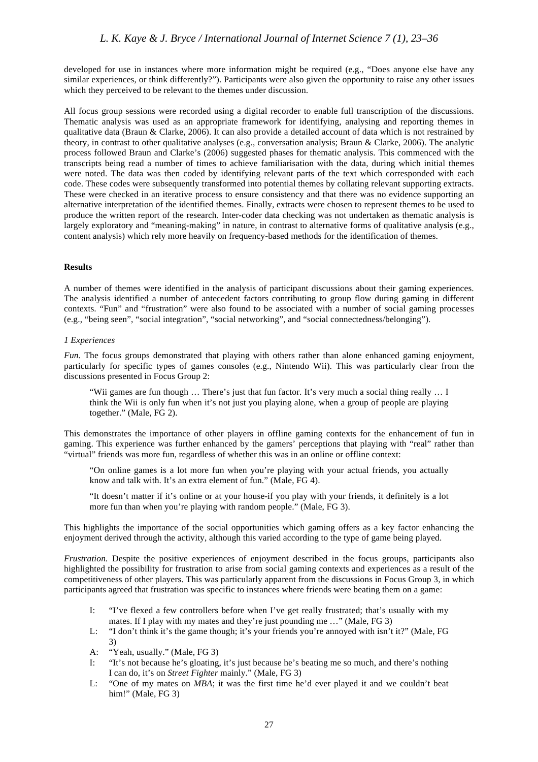developed for use in instances where more information might be required (e.g., "Does anyone else have any similar experiences, or think differently?"). Participants were also given the opportunity to raise any other issues which they perceived to be relevant to the themes under discussion.

All focus group sessions were recorded using a digital recorder to enable full transcription of the discussions. Thematic analysis was used as an appropriate framework for identifying, analysing and reporting themes in qualitative data (Braun & Clarke, 2006). It can also provide a detailed account of data which is not restrained by theory, in contrast to other qualitative analyses (e.g., conversation analysis; Braun & Clarke, 2006). The analytic process followed Braun and Clarke's (2006) suggested phases for thematic analysis. This commenced with the transcripts being read a number of times to achieve familiarisation with the data, during which initial themes were noted. The data was then coded by identifying relevant parts of the text which corresponded with each code. These codes were subsequently transformed into potential themes by collating relevant supporting extracts. These were checked in an iterative process to ensure consistency and that there was no evidence supporting an alternative interpretation of the identified themes. Finally, extracts were chosen to represent themes to be used to produce the written report of the research. Inter-coder data checking was not undertaken as thematic analysis is largely exploratory and "meaning-making" in nature, in contrast to alternative forms of qualitative analysis (e.g., content analysis) which rely more heavily on frequency-based methods for the identification of themes.

### **Results**

A number of themes were identified in the analysis of participant discussions about their gaming experiences. The analysis identified a number of antecedent factors contributing to group flow during gaming in different contexts. "Fun" and "frustration" were also found to be associated with a number of social gaming processes (e.g., "being seen", "social integration", "social networking", and "social connectedness/belonging").

### *1 Experiences*

*Fun.* The focus groups demonstrated that playing with others rather than alone enhanced gaming enjoyment, particularly for specific types of games consoles (e.g., Nintendo Wii). This was particularly clear from the discussions presented in Focus Group 2:

"Wii games are fun though … There's just that fun factor. It's very much a social thing really … I think the Wii is only fun when it's not just you playing alone, when a group of people are playing together." (Male, FG 2).

This demonstrates the importance of other players in offline gaming contexts for the enhancement of fun in gaming. This experience was further enhanced by the gamers' perceptions that playing with "real" rather than "virtual" friends was more fun, regardless of whether this was in an online or offline context:

"On online games is a lot more fun when you're playing with your actual friends, you actually know and talk with. It's an extra element of fun." (Male, FG 4).

"It doesn't matter if it's online or at your house-if you play with your friends, it definitely is a lot more fun than when you're playing with random people." (Male, FG 3).

This highlights the importance of the social opportunities which gaming offers as a key factor enhancing the enjoyment derived through the activity, although this varied according to the type of game being played.

*Frustration.* Despite the positive experiences of enjoyment described in the focus groups, participants also highlighted the possibility for frustration to arise from social gaming contexts and experiences as a result of the competitiveness of other players. This was particularly apparent from the discussions in Focus Group 3, in which participants agreed that frustration was specific to instances where friends were beating them on a game:

- I: "I've flexed a few controllers before when I've get really frustrated; that's usually with my mates. If I play with my mates and they're just pounding me …" (Male, FG 3)
- L: "I don't think it's the game though; it's your friends you're annoyed with isn't it?" (Male, FG 3)
- A: "Yeah, usually." (Male, FG 3)
- I: "It's not because he's gloating, it's just because he's beating me so much, and there's nothing I can do, it's on *Street Fighter* mainly." (Male, FG 3)
- L: "One of my mates on *MBA*; it was the first time he'd ever played it and we couldn't beat him!" (Male, FG 3)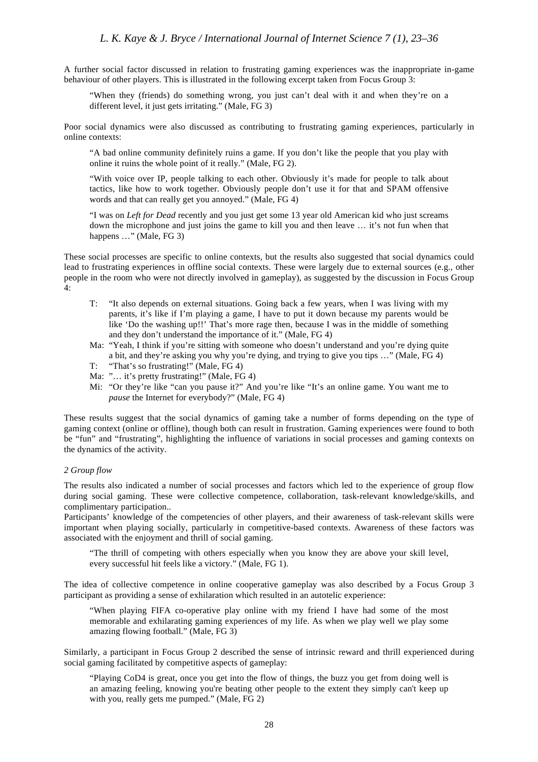A further social factor discussed in relation to frustrating gaming experiences was the inappropriate in-game behaviour of other players. This is illustrated in the following excerpt taken from Focus Group 3:

"When they (friends) do something wrong, you just can't deal with it and when they're on a different level, it just gets irritating." (Male, FG 3)

Poor social dynamics were also discussed as contributing to frustrating gaming experiences, particularly in online contexts:

"A bad online community definitely ruins a game. If you don't like the people that you play with online it ruins the whole point of it really." (Male, FG 2).

"With voice over IP, people talking to each other. Obviously it's made for people to talk about tactics, like how to work together. Obviously people don't use it for that and SPAM offensive words and that can really get you annoyed." (Male, FG 4)

"I was on *Left for Dead* recently and you just get some 13 year old American kid who just screams down the microphone and just joins the game to kill you and then leave … it's not fun when that happens ..." (Male, FG 3)

These social processes are specific to online contexts, but the results also suggested that social dynamics could lead to frustrating experiences in offline social contexts. These were largely due to external sources (e.g., other people in the room who were not directly involved in gameplay), as suggested by the discussion in Focus Group 4:

- T: "It also depends on external situations. Going back a few years, when I was living with my parents, it's like if I'm playing a game, I have to put it down because my parents would be like 'Do the washing up!!' That's more rage then, because I was in the middle of something and they don't understand the importance of it." (Male, FG 4)
- Ma: "Yeah, I think if you're sitting with someone who doesn't understand and you're dying quite a bit, and they're asking you why you're dying, and trying to give you tips …" (Male, FG 4)
- T: "That's so frustrating!" (Male, FG 4)
- Ma: "… it's pretty frustrating!" (Male, FG 4)
- Mi: "Or they're like "can you pause it?" And you're like "It's an online game. You want me to *pause* the Internet for everybody?" (Male, FG 4)

These results suggest that the social dynamics of gaming take a number of forms depending on the type of gaming context (online or offline), though both can result in frustration. Gaming experiences were found to both be "fun" and "frustrating", highlighting the influence of variations in social processes and gaming contexts on the dynamics of the activity.

### *2 Group flow*

The results also indicated a number of social processes and factors which led to the experience of group flow during social gaming. These were collective competence, collaboration, task-relevant knowledge/skills, and complimentary participation..

Participants' knowledge of the competencies of other players, and their awareness of task-relevant skills were important when playing socially, particularly in competitive-based contexts. Awareness of these factors was associated with the enjoyment and thrill of social gaming.

"The thrill of competing with others especially when you know they are above your skill level, every successful hit feels like a victory." (Male, FG 1).

The idea of collective competence in online cooperative gameplay was also described by a Focus Group 3 participant as providing a sense of exhilaration which resulted in an autotelic experience:

"When playing FIFA co-operative play online with my friend I have had some of the most memorable and exhilarating gaming experiences of my life. As when we play well we play some amazing flowing football." (Male, FG 3)

Similarly, a participant in Focus Group 2 described the sense of intrinsic reward and thrill experienced during social gaming facilitated by competitive aspects of gameplay:

"Playing CoD4 is great, once you get into the flow of things, the buzz you get from doing well is an amazing feeling, knowing you're beating other people to the extent they simply can't keep up with you, really gets me pumped." (Male, FG 2)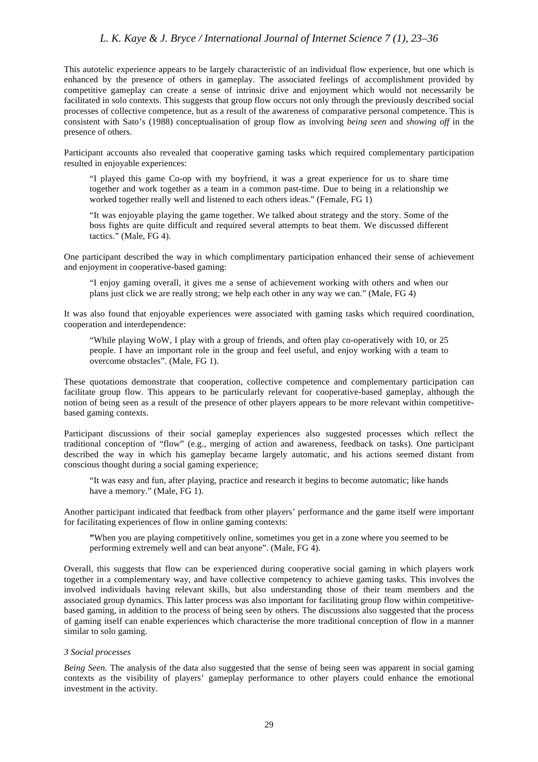This autotelic experience appears to be largely characteristic of an individual flow experience, but one which is enhanced by the presence of others in gameplay. The associated feelings of accomplishment provided by competitive gameplay can create a sense of intrinsic drive and enjoyment which would not necessarily be facilitated in solo contexts. This suggests that group flow occurs not only through the previously described social processes of collective competence, but as a result of the awareness of comparative personal competence. This is consistent with Sato's (1988) conceptualisation of group flow as involving *being seen* and *showing off* in the presence of others.

Participant accounts also revealed that cooperative gaming tasks which required complementary participation resulted in enjoyable experiences:

"I played this game Co-op with my boyfriend, it was a great experience for us to share time together and work together as a team in a common past-time. Due to being in a relationship we worked together really well and listened to each others ideas." (Female, FG 1)

"It was enjoyable playing the game together. We talked about strategy and the story. Some of the boss fights are quite difficult and required several attempts to beat them. We discussed different tactics." (Male, FG 4).

One participant described the way in which complimentary participation enhanced their sense of achievement and enjoyment in cooperative-based gaming:

"I enjoy gaming overall, it gives me a sense of achievement working with others and when our plans just click we are really strong; we help each other in any way we can." (Male, FG 4)

It was also found that enjoyable experiences were associated with gaming tasks which required coordination, cooperation and interdependence:

"While playing WoW, I play with a group of friends, and often play co-operatively with 10, or 25 people. I have an important role in the group and feel useful, and enjoy working with a team to overcome obstacles". (Male, FG 1).

These quotations demonstrate that cooperation, collective competence and complementary participation can facilitate group flow. This appears to be particularly relevant for cooperative-based gameplay, although the notion of being seen as a result of the presence of other players appears to be more relevant within competitivebased gaming contexts.

Participant discussions of their social gameplay experiences also suggested processes which reflect the traditional conception of "flow" (e.g., merging of action and awareness, feedback on tasks). One participant described the way in which his gameplay became largely automatic, and his actions seemed distant from conscious thought during a social gaming experience;

"It was easy and fun, after playing, practice and research it begins to become automatic; like hands have a memory." (Male, FG 1).

Another participant indicated that feedback from other players' performance and the game itself were important for facilitating experiences of flow in online gaming contexts:

**"**When you are playing competitively online, sometimes you get in a zone where you seemed to be performing extremely well and can beat anyone". (Male, FG 4).

Overall, this suggests that flow can be experienced during cooperative social gaming in which players work together in a complementary way, and have collective competency to achieve gaming tasks. This involves the involved individuals having relevant skills, but also understanding those of their team members and the associated group dynamics. This latter process was also important for facilitating group flow within competitivebased gaming, in addition to the process of being seen by others. The discussions also suggested that the process of gaming itself can enable experiences which characterise the more traditional conception of flow in a manner similar to solo gaming.

### *3 Social processes*

*Being Seen.* The analysis of the data also suggested that the sense of being seen was apparent in social gaming contexts as the visibility of players' gameplay performance to other players could enhance the emotional investment in the activity.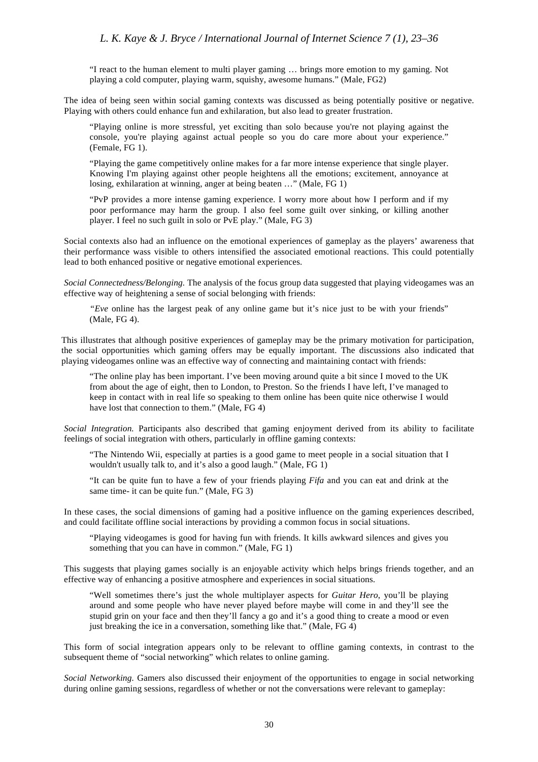"I react to the human element to multi player gaming … brings more emotion to my gaming. Not playing a cold computer, playing warm, squishy, awesome humans." (Male, FG2)

The idea of being seen within social gaming contexts was discussed as being potentially positive or negative. Playing with others could enhance fun and exhilaration, but also lead to greater frustration.

"Playing online is more stressful, yet exciting than solo because you're not playing against the console, you're playing against actual people so you do care more about your experience." (Female, FG 1).

"Playing the game competitively online makes for a far more intense experience that single player. Knowing I'm playing against other people heightens all the emotions; excitement, annoyance at losing, exhilaration at winning, anger at being beaten …" (Male, FG 1)

"PvP provides a more intense gaming experience. I worry more about how I perform and if my poor performance may harm the group. I also feel some guilt over sinking, or killing another player. I feel no such guilt in solo or PvE play." (Male, FG 3)

Social contexts also had an influence on the emotional experiences of gameplay as the players' awareness that their performance wass visible to others intensified the associated emotional reactions. This could potentially lead to both enhanced positive or negative emotional experiences.

*Social Connectedness/Belonging.* The analysis of the focus group data suggested that playing videogames was an effective way of heightening a sense of social belonging with friends:

*"Eve* online has the largest peak of any online game but it's nice just to be with your friends" (Male, FG 4).

This illustrates that although positive experiences of gameplay may be the primary motivation for participation, the social opportunities which gaming offers may be equally important. The discussions also indicated that playing videogames online was an effective way of connecting and maintaining contact with friends:

"The online play has been important. I've been moving around quite a bit since I moved to the UK from about the age of eight, then to London, to Preston. So the friends I have left, I've managed to keep in contact with in real life so speaking to them online has been quite nice otherwise I would have lost that connection to them." (Male, FG 4)

*Social Integration.* Participants also described that gaming enjoyment derived from its ability to facilitate feelings of social integration with others, particularly in offline gaming contexts:

"The Nintendo Wii, especially at parties is a good game to meet people in a social situation that I wouldn't usually talk to, and it's also a good laugh." (Male, FG 1)

"It can be quite fun to have a few of your friends playing *Fifa* and you can eat and drink at the same time- it can be quite fun." (Male, FG 3)

In these cases, the social dimensions of gaming had a positive influence on the gaming experiences described, and could facilitate offline social interactions by providing a common focus in social situations.

"Playing videogames is good for having fun with friends. It kills awkward silences and gives you something that you can have in common." (Male, FG 1)

This suggests that playing games socially is an enjoyable activity which helps brings friends together, and an effective way of enhancing a positive atmosphere and experiences in social situations.

"Well sometimes there's just the whole multiplayer aspects for *Guitar Hero*, you'll be playing around and some people who have never played before maybe will come in and they'll see the stupid grin on your face and then they'll fancy a go and it's a good thing to create a mood or even just breaking the ice in a conversation, something like that." (Male, FG 4)

This form of social integration appears only to be relevant to offline gaming contexts, in contrast to the subsequent theme of "social networking" which relates to online gaming.

*Social Networking.* Gamers also discussed their enjoyment of the opportunities to engage in social networking during online gaming sessions, regardless of whether or not the conversations were relevant to gameplay: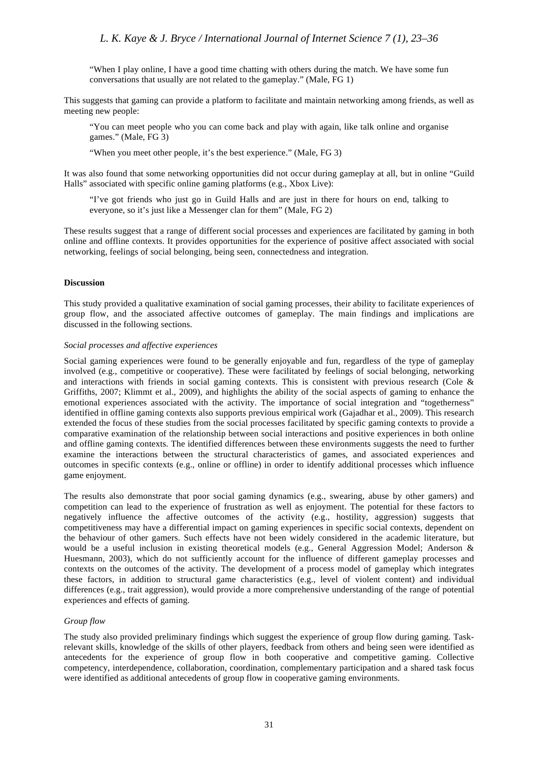"When I play online, I have a good time chatting with others during the match. We have some fun conversations that usually are not related to the gameplay." (Male, FG 1)

This suggests that gaming can provide a platform to facilitate and maintain networking among friends, as well as meeting new people:

"You can meet people who you can come back and play with again, like talk online and organise games." (Male, FG 3)

"When you meet other people, it's the best experience." (Male, FG 3)

It was also found that some networking opportunities did not occur during gameplay at all, but in online "Guild Halls" associated with specific online gaming platforms (e.g., Xbox Live):

"I've got friends who just go in Guild Halls and are just in there for hours on end, talking to everyone, so it's just like a Messenger clan for them" (Male, FG 2)

These results suggest that a range of different social processes and experiences are facilitated by gaming in both online and offline contexts. It provides opportunities for the experience of positive affect associated with social networking, feelings of social belonging, being seen, connectedness and integration.

### **Discussion**

This study provided a qualitative examination of social gaming processes, their ability to facilitate experiences of group flow, and the associated affective outcomes of gameplay. The main findings and implications are discussed in the following sections.

### *Social processes and affective experiences*

Social gaming experiences were found to be generally enjoyable and fun, regardless of the type of gameplay involved (e.g., competitive or cooperative). These were facilitated by feelings of social belonging, networking and interactions with friends in social gaming contexts. This is consistent with previous research (Cole & Griffiths, 2007; Klimmt et al., 2009), and highlights the ability of the social aspects of gaming to enhance the emotional experiences associated with the activity. The importance of social integration and "togetherness" identified in offline gaming contexts also supports previous empirical work (Gajadhar et al., 2009). This research extended the focus of these studies from the social processes facilitated by specific gaming contexts to provide a comparative examination of the relationship between social interactions and positive experiences in both online and offline gaming contexts. The identified differences between these environments suggests the need to further examine the interactions between the structural characteristics of games, and associated experiences and outcomes in specific contexts (e.g., online or offline) in order to identify additional processes which influence game enjoyment.

The results also demonstrate that poor social gaming dynamics (e.g., swearing, abuse by other gamers) and competition can lead to the experience of frustration as well as enjoyment. The potential for these factors to negatively influence the affective outcomes of the activity (e.g., hostility, aggression) suggests that competitiveness may have a differential impact on gaming experiences in specific social contexts, dependent on the behaviour of other gamers. Such effects have not been widely considered in the academic literature, but would be a useful inclusion in existing theoretical models (e.g., General Aggression Model; Anderson & Huesmann, 2003), which do not sufficiently account for the influence of different gameplay processes and contexts on the outcomes of the activity. The development of a process model of gameplay which integrates these factors, in addition to structural game characteristics (e.g., level of violent content) and individual differences (e.g., trait aggression), would provide a more comprehensive understanding of the range of potential experiences and effects of gaming.

### *Group flow*

The study also provided preliminary findings which suggest the experience of group flow during gaming. Taskrelevant skills, knowledge of the skills of other players, feedback from others and being seen were identified as antecedents for the experience of group flow in both cooperative and competitive gaming. Collective competency, interdependence, collaboration, coordination, complementary participation and a shared task focus were identified as additional antecedents of group flow in cooperative gaming environments.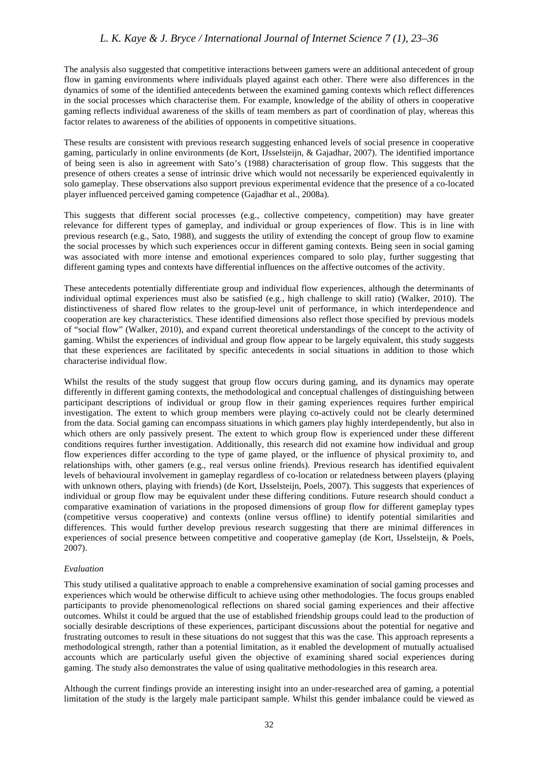The analysis also suggested that competitive interactions between gamers were an additional antecedent of group flow in gaming environments where individuals played against each other. There were also differences in the dynamics of some of the identified antecedents between the examined gaming contexts which reflect differences in the social processes which characterise them. For example, knowledge of the ability of others in cooperative gaming reflects individual awareness of the skills of team members as part of coordination of play, whereas this factor relates to awareness of the abilities of opponents in competitive situations.

These results are consistent with previous research suggesting enhanced levels of social presence in cooperative gaming, particularly in online environments (de Kort, IJsselsteijn, & Gajadhar, 2007). The identified importance of being seen is also in agreement with Sato's (1988) characterisation of group flow. This suggests that the presence of others creates a sense of intrinsic drive which would not necessarily be experienced equivalently in solo gameplay. These observations also support previous experimental evidence that the presence of a co-located player influenced perceived gaming competence (Gajadhar et al., 2008a).

This suggests that different social processes (e.g., collective competency, competition) may have greater relevance for different types of gameplay, and individual or group experiences of flow. This is in line with previous research (e.g., Sato, 1988), and suggests the utility of extending the concept of group flow to examine the social processes by which such experiences occur in different gaming contexts. Being seen in social gaming was associated with more intense and emotional experiences compared to solo play, further suggesting that different gaming types and contexts have differential influences on the affective outcomes of the activity.

These antecedents potentially differentiate group and individual flow experiences, although the determinants of individual optimal experiences must also be satisfied (e.g., high challenge to skill ratio) (Walker, 2010). The distinctiveness of shared flow relates to the group-level unit of performance, in which interdependence and cooperation are key characteristics. These identified dimensions also reflect those specified by previous models of "social flow" (Walker, 2010), and expand current theoretical understandings of the concept to the activity of gaming. Whilst the experiences of individual and group flow appear to be largely equivalent, this study suggests that these experiences are facilitated by specific antecedents in social situations in addition to those which characterise individual flow.

Whilst the results of the study suggest that group flow occurs during gaming, and its dynamics may operate differently in different gaming contexts, the methodological and conceptual challenges of distinguishing between participant descriptions of individual or group flow in their gaming experiences requires further empirical investigation. The extent to which group members were playing co-actively could not be clearly determined from the data. Social gaming can encompass situations in which gamers play highly interdependently, but also in which others are only passively present. The extent to which group flow is experienced under these different conditions requires further investigation. Additionally, this research did not examine how individual and group flow experiences differ according to the type of game played, or the influence of physical proximity to, and relationships with, other gamers (e.g., real versus online friends). Previous research has identified equivalent levels of behavioural involvement in gameplay regardless of co-location or relatedness between players (playing with unknown others, playing with friends) (de Kort, IJsselsteijn, Poels, 2007). This suggests that experiences of individual or group flow may be equivalent under these differing conditions. Future research should conduct a comparative examination of variations in the proposed dimensions of group flow for different gameplay types (competitive versus cooperative) and contexts (online versus offline) to identify potential similarities and differences. This would further develop previous research suggesting that there are minimal differences in experiences of social presence between competitive and cooperative gameplay (de Kort, IJsselsteijn, & Poels, 2007).

### *Evaluation*

This study utilised a qualitative approach to enable a comprehensive examination of social gaming processes and experiences which would be otherwise difficult to achieve using other methodologies. The focus groups enabled participants to provide phenomenological reflections on shared social gaming experiences and their affective outcomes. Whilst it could be argued that the use of established friendship groups could lead to the production of socially desirable descriptions of these experiences, participant discussions about the potential for negative and frustrating outcomes to result in these situations do not suggest that this was the case. This approach represents a methodological strength, rather than a potential limitation, as it enabled the development of mutually actualised accounts which are particularly useful given the objective of examining shared social experiences during gaming. The study also demonstrates the value of using qualitative methodologies in this research area.

Although the current findings provide an interesting insight into an under-researched area of gaming, a potential limitation of the study is the largely male participant sample. Whilst this gender imbalance could be viewed as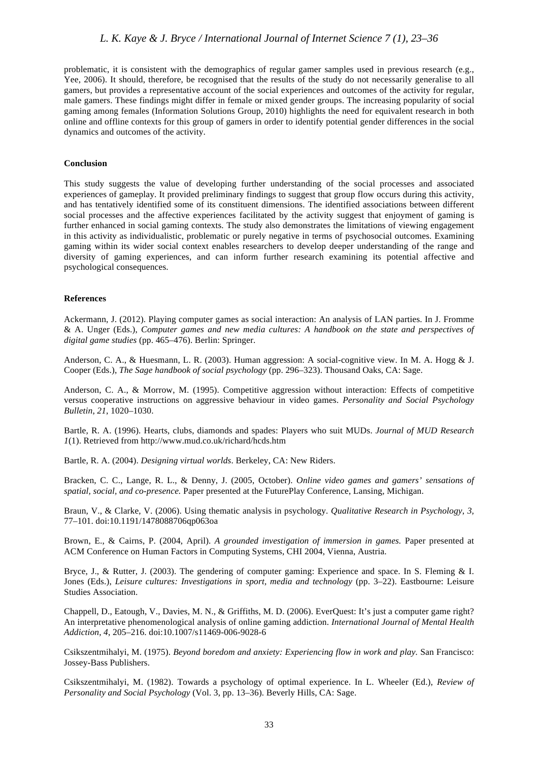problematic, it is consistent with the demographics of regular gamer samples used in previous research (e.g., Yee, 2006). It should, therefore, be recognised that the results of the study do not necessarily generalise to all gamers, but provides a representative account of the social experiences and outcomes of the activity for regular, male gamers. These findings might differ in female or mixed gender groups. The increasing popularity of social gaming among females (Information Solutions Group, 2010) highlights the need for equivalent research in both online and offline contexts for this group of gamers in order to identify potential gender differences in the social dynamics and outcomes of the activity.

### **Conclusion**

This study suggests the value of developing further understanding of the social processes and associated experiences of gameplay. It provided preliminary findings to suggest that group flow occurs during this activity, and has tentatively identified some of its constituent dimensions. The identified associations between different social processes and the affective experiences facilitated by the activity suggest that enjoyment of gaming is further enhanced in social gaming contexts. The study also demonstrates the limitations of viewing engagement in this activity as individualistic, problematic or purely negative in terms of psychosocial outcomes. Examining gaming within its wider social context enables researchers to develop deeper understanding of the range and diversity of gaming experiences, and can inform further research examining its potential affective and psychological consequences.

#### **References**

Ackermann, J. (2012). Playing computer games as social interaction: An analysis of LAN parties. In J. Fromme & A. Unger (Eds.), *Computer games and new media cultures: A handbook on the state and perspectives of digital game studies* (pp. 465–476). Berlin: Springer.

Anderson, C. A., & Huesmann, L. R. (2003). Human aggression: A social-cognitive view. In M. A. Hogg & J. Cooper (Eds.), *The Sage handbook of social psychology* (pp. 296–323). Thousand Oaks, CA: Sage.

Anderson, C. A., & Morrow, M. (1995). Competitive aggression without interaction: Effects of competitive versus cooperative instructions on aggressive behaviour in video games. *Personality and Social Psychology Bulletin*, *21*, 1020–1030.

Bartle, R. A. (1996). Hearts, clubs, diamonds and spades: Players who suit MUDs. *Journal of MUD Research 1*(1). Retrieved from [http://www.mud.co.uk/richard/hcds.htm](www.mud.co.uk/richard/hcds.htm)

Bartle, R. A. (2004). *Designing virtual worlds*. Berkeley, CA: New Riders.

Bracken, C. C., Lange, R. L., & Denny, J. (2005, October). *Online video games and gamers' sensations of spatial, social, and co-presence.* Paper presented at the FuturePlay Conference, Lansing, Michigan.

Braun, V., & Clarke, V. (2006). Using thematic analysis in psychology. *Qualitative Research in Psychology*, *3,* 77–101. doi[:10.1191/1478088706qp063oa](http://dx.doi.org/10.1191/1478088706qp063oa)

Brown, E., & Cairns, P. (2004, April). *A grounded investigation of immersion in games.* Paper presented at ACM Conference on Human Factors in Computing Systems, CHI 2004, Vienna, Austria.

Bryce, J., & Rutter, J. (2003). The gendering of computer gaming: Experience and space. In S. Fleming & I. Jones (Eds.), *Leisure cultures: Investigations in sport, media and technology* (pp. 3–22). Eastbourne: Leisure Studies Association.

Chappell, D., Eatough, V., Davies, M. N., & Griffiths, M. D. (2006). EverQuest: It's just a computer game right? An interpretative phenomenological analysis of online gaming addiction. *International Journal of Mental Health Addiction, 4*, 205–216. doi[:10.1007/s11469-006-9028-6](http://dx.doi.org/10.1007/s11469-006-9028-6)

Csikszentmihalyi, M. (1975). *Beyond boredom and anxiety: Experiencing flow in work and play.* San Francisco: Jossey-Bass Publishers.

Csikszentmihalyi, M. (1982). Towards a psychology of optimal experience. In L. Wheeler (Ed.), *Review of Personality and Social Psychology* (Vol. 3, pp. 13–36). Beverly Hills, CA: Sage.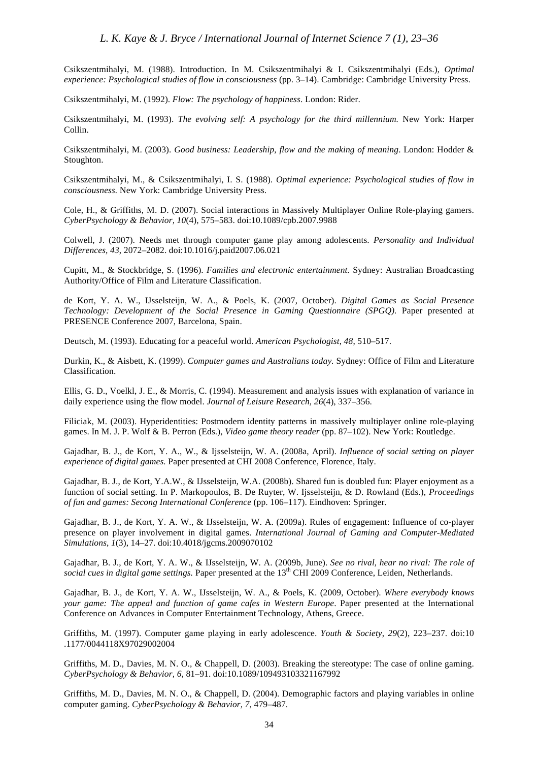Csikszentmihalyi, M. (1988). Introduction. In M. Csikszentmihalyi & I. Csikszentmihalyi (Eds.), *Optimal experience: Psychological studies of flow in consciousness* (pp. 3–14). Cambridge: Cambridge University Press.

Csikszentmihalyi, M. (1992). *Flow: The psychology of happiness*. London: Rider.

Csikszentmihalyi, M. (1993). *The evolving self: A psychology for the third millennium.* New York: Harper Collin.

Csikszentmihalyi, M. (2003). *Good business: Leadership, flow and the making of meaning*. London: Hodder & Stoughton.

Csikszentmihalyi, M., & Csikszentmihalyi, I. S. (1988). *Optimal experience: Psychological studies of flow in consciousness.* New York: Cambridge University Press.

Cole, H., & Griffiths, M. D. (2007). Social interactions in Massively Multiplayer Online Role-playing gamers. *CyberPsychology & Behavior, 10*(4), 575–583. doi:[10.1089/cpb.2007.9988](http://dx.doi.org/10.1089/cpb.2007.9988)

Colwell, J. (2007). Needs met through computer game play among adolescents. *Personality and Individual Differences, 43*, 2072–2082. doi[:10.1016/j.paid2007.06.021](http://dx.doi.org/10.1016/j.paid2007.06.021)

Cupitt, M., & Stockbridge, S. (1996). *Families and electronic entertainment.* Sydney: Australian Broadcasting Authority/Office of Film and Literature Classification.

de Kort, Y. A. W., IJsselsteijn, W. A., & Poels, K. (2007, October). *Digital Games as Social Presence Technology: Development of the Social Presence in Gaming Questionnaire (SPGQ).* Paper presented at PRESENCE Conference 2007, Barcelona, Spain.

Deutsch, M. (1993). Educating for a peaceful world. *American Psychologist*, *48*, 510–517.

Durkin, K., & Aisbett, K. (1999). *Computer games and Australians today.* Sydney: Office of Film and Literature Classification.

Ellis, G. D., Voelkl, J. E., & Morris, C. (1994). Measurement and analysis issues with explanation of variance in daily experience using the flow model. *Journal of Leisure Research, 26*(4), 337–356.

Filiciak, M. (2003). Hyperidentities: Postmodern identity patterns in massively multiplayer online role-playing games. In M. J. P. Wolf & B. Perron (Eds.), *Video game theory reader* (pp. 87–102). New York: Routledge.

Gajadhar, B. J., de Kort, Y. A., W., & Ijsselsteijn, W. A. (2008a, April). *Influence of social setting on player experience of digital games.* Paper presented at CHI 2008 Conference, Florence, Italy.

Gajadhar, B. J., de Kort, Y.A.W., & IJsselsteijn, W.A. (2008b). Shared fun is doubled fun: Player enjoyment as a function of social setting. In P. Markopoulos, B. De Ruyter, W. Ijsselsteijn, & D. Rowland (Eds.), *Proceedings of fun and games: Secong International Conference* (pp. 106–117). Eindhoven: Springer.

Gajadhar, B. J., de Kort, Y. A. W., & IJsselsteijn, W. A. (2009a). Rules of engagement: Influence of co-player presence on player involvement in digital games. *International Journal of Gaming and Computer-Mediated Simulations*, *1*(3), 14–27. doi[:10.4018/jgcms.2009070102](http://dx.doi.org/10.4018/jgcms.2009070102)

Gajadhar, B. J., de Kort, Y. A. W., & IJsselsteijn, W. A. (2009b, June). *See no rival, hear no rival: The role of*  social cues in digital game settings. Paper presented at the 13<sup>th</sup> CHI 2009 Conference, Leiden, Netherlands.

Gajadhar, B. J., de Kort, Y. A. W., IJsselsteijn, W. A., & Poels, K. (2009, October). *Where everybody knows your game: The appeal and function of game cafes in Western Europe*. Paper presented at the International Conference on Advances in Computer Entertainment Technology, Athens, Greece.

Griffiths, M. (1997). Computer game playing in early adolescence. *Youth & Society*, *29*(2), 223–237. doi[:10](http://dx.doi.org/10.1177/0044118X97029002004) [.1177/0044118X97029002004](http://dx.doi.org/10.1177/0044118X97029002004)

Griffiths, M. D., Davies, M. N. O., & Chappell, D. (2003). Breaking the stereotype: The case of online gaming. *CyberPsychology & Behavior, 6*, 81–91. doi[:10.1089/109493103321167992](http://dx.doi.org/10.1089/109493103321167992)

Griffiths, M. D., Davies, M. N. O., & Chappell, D. (2004). Demographic factors and playing variables in online computer gaming. *CyberPsychology & Behavior, 7,* 479–487.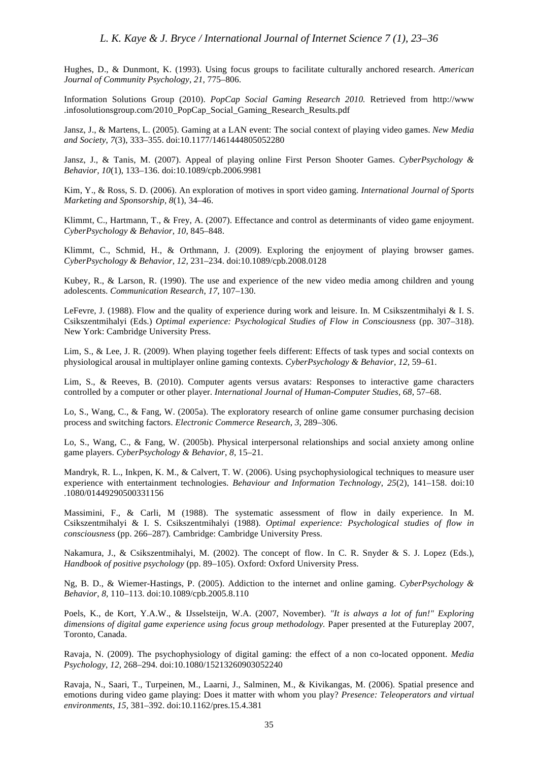Hughes, D., & Dunmont, K. (1993). Using focus groups to facilitate culturally anchored research. *American Journal of Community Psychology*, *21,* 775–806.

Information Solutions Group (2010). *PopCap Social Gaming Research 2010.* Retrieved from [http://www](www.infosolutionsgroup.com/2010_PopCap_Social_Gaming_Research_Results.pdf) [.infosolutionsgroup.com/2010\\_PopCap\\_Social\\_Gaming\\_Research\\_Results.pdf](www.infosolutionsgroup.com/2010_PopCap_Social_Gaming_Research_Results.pdf)

Jansz, J., & Martens, L. (2005). Gaming at a LAN event: The social context of playing video games. *New Media and Society*, *7*(3), 333–355. doi[:10.1177/1461444805052280](http://dx.doi.org/10.1177/1461444805052280)

Jansz, J., & Tanis, M. (2007). Appeal of playing online First Person Shooter Games. *CyberPsychology & Behavior, 10*(1), 133–136. doi:[10.1089/cpb.2006.9981](http://dx.doi.org/10.1089/cpb.2006.9981)

Kim, Y., & Ross, S. D. (2006). An exploration of motives in sport video gaming. *International Journal of Sports Marketing and Sponsorship*, *8*(1), 34–46.

Klimmt, C., Hartmann, T., & Frey, A. (2007). Effectance and control as determinants of video game enjoyment. *CyberPsychology & Behavior, 10,* 845–848.

Klimmt, C., Schmid, H., & Orthmann, J. (2009). Exploring the enjoyment of playing browser games. *CyberPsychology & Behavior, 12,* 231–234. doi[:10.1089/cpb.2008.0128](http://dx.doi.org/10.1089/cpb.2008.0128)

Kubey, R., & Larson, R. (1990). The use and experience of the new video media among children and young adolescents. *Communication Research*, *17*, 107–130.

LeFevre, J. (1988). Flow and the quality of experience during work and leisure. In. M Csikszentmihalyi & I. S. Csikszentmihalyi (Eds.) *Optimal experience: Psychological Studies of Flow in Consciousness* (pp. 307–318). New York: Cambridge University Press.

Lim, S., & Lee, J. R. (2009). When playing together feels different: Effects of task types and social contexts on physiological arousal in multiplayer online gaming contexts. *CyberPsychology & Behavior*, *12,* 59–61.

Lim, S., & Reeves, B. (2010). Computer agents versus avatars: Responses to interactive game characters controlled by a computer or other player. *International Journal of Human-Computer Studies, 68,* 57–68.

Lo, S., Wang, C., & Fang, W. (2005a). The exploratory research of online game consumer purchasing decision process and switching factors. *Electronic Commerce Research*, *3*, 289–306.

Lo, S., Wang, C., & Fang, W. (2005b). Physical interpersonal relationships and social anxiety among online game players. *CyberPsychology & Behavior*, *8*, 15–21.

Mandryk, R. L., Inkpen, K. M., & Calvert, T. W. (2006). Using psychophysiological techniques to measure user experience with entertainment technologies. *Behaviour and Information Technology*, *25*(2), 141–158. doi[:10](dx.doi.org/10.1080/01449290500331156) [.1080/01449290500331156](http://dx.doi.org/10.1080/01449290500331156)

Massimini, F., & Carli, M (1988). The systematic assessment of flow in daily experience. In M. Csikszentmihalyi & I. S. Csikszentmihalyi (1988). *Optimal experience: Psychological studies of flow in consciousness* (pp. 266–287)*.* Cambridge: Cambridge University Press.

Nakamura, J., & Csikszentmihalyi, M. (2002). The concept of flow. In C. R. Snyder & S. J. Lopez (Eds.), *Handbook of positive psychology* (pp. 89–105). Oxford: Oxford University Press.

Ng, B. D., & Wiemer-Hastings, P. (2005). Addiction to the internet and online gaming. *CyberPsychology & Behavior*, *8,* 110–113. doi:[10.1089/cpb.2005.8.110](http://dx.doi.org/10.1089/cpb.2005.8.110)

Poels, K., de Kort, Y.A.W., & IJsselsteijn, W.A. (2007, November). *"It is always a lot of fun!" Exploring dimensions of digital game experience using focus group methodology.* Paper presented at the Futureplay 2007, Toronto, Canada.

Ravaja, N. (2009). The psychophysiology of digital gaming: the effect of a non co-located opponent. *Media Psychology, 12,* 268–294. doi[:10.1080/15213260903052240](http://dx.doi.org/10.1080/15213260903052240)

Ravaja, N., Saari, T., Turpeinen, M., Laarni, J., Salminen, M., & Kivikangas, M. (2006). Spatial presence and emotions during video game playing: Does it matter with whom you play? *Presence: Teleoperators and virtual environments*, *15,* 381–392. doi[:10.1162/pres.15.4.381](http://dx.doi.org/10.1162/pres.15.4.381)